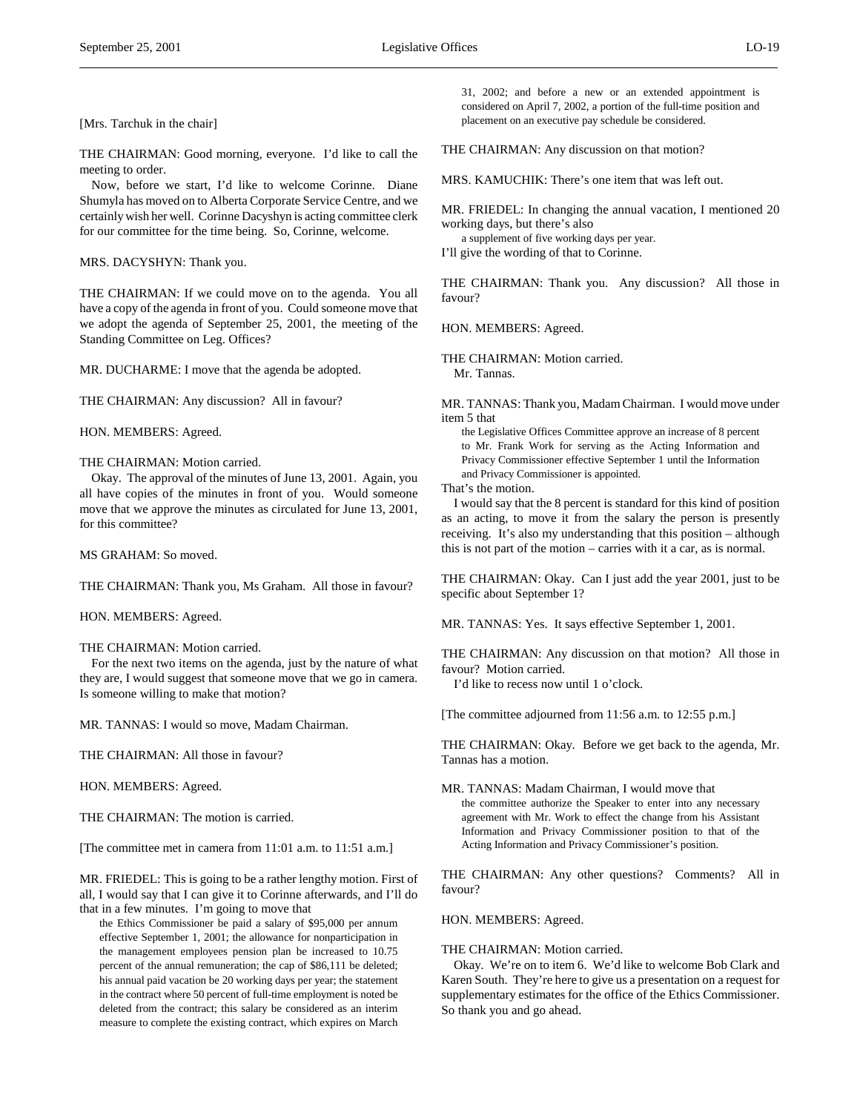$\overline{a}$ 

THE CHAIRMAN: Good morning, everyone. I'd like to call the meeting to order.

Now, before we start, I'd like to welcome Corinne. Diane Shumyla has moved on to Alberta Corporate Service Centre, and we certainly wish her well. Corinne Dacyshyn is acting committee clerk for our committee for the time being. So, Corinne, welcome.

MRS. DACYSHYN: Thank you.

THE CHAIRMAN: If we could move on to the agenda. You all have a copy of the agenda in front of you. Could someone move that we adopt the agenda of September 25, 2001, the meeting of the Standing Committee on Leg. Offices?

MR. DUCHARME: I move that the agenda be adopted.

THE CHAIRMAN: Any discussion? All in favour?

HON. MEMBERS: Agreed.

# THE CHAIRMAN: Motion carried.

Okay. The approval of the minutes of June 13, 2001. Again, you all have copies of the minutes in front of you. Would someone move that we approve the minutes as circulated for June 13, 2001, for this committee?

MS GRAHAM: So moved.

THE CHAIRMAN: Thank you, Ms Graham. All those in favour?

HON. MEMBERS: Agreed.

### THE CHAIRMAN: Motion carried.

For the next two items on the agenda, just by the nature of what they are, I would suggest that someone move that we go in camera. Is someone willing to make that motion?

MR. TANNAS: I would so move, Madam Chairman.

THE CHAIRMAN: All those in favour?

HON. MEMBERS: Agreed.

THE CHAIRMAN: The motion is carried.

[The committee met in camera from 11:01 a.m. to 11:51 a.m.]

MR. FRIEDEL: This is going to be a rather lengthy motion. First of all, I would say that I can give it to Corinne afterwards, and I'll do that in a few minutes. I'm going to move that

the Ethics Commissioner be paid a salary of \$95,000 per annum effective September 1, 2001; the allowance for nonparticipation in the management employees pension plan be increased to 10.75 percent of the annual remuneration; the cap of \$86,111 be deleted; his annual paid vacation be 20 working days per year; the statement in the contract where 50 percent of full-time employment is noted be deleted from the contract; this salary be considered as an interim measure to complete the existing contract, which expires on March 31, 2002; and before a new or an extended appointment is considered on April 7, 2002, a portion of the full-time position and placement on an executive pay schedule be considered.

THE CHAIRMAN: Any discussion on that motion?

MRS. KAMUCHIK: There's one item that was left out.

MR. FRIEDEL: In changing the annual vacation, I mentioned 20 working days, but there's also

a supplement of five working days per year.

I'll give the wording of that to Corinne.

THE CHAIRMAN: Thank you. Any discussion? All those in favour?

HON. MEMBERS: Agreed.

THE CHAIRMAN: Motion carried. Mr. Tannas.

MR. TANNAS: Thank you, Madam Chairman. I would move under item 5 that

the Legislative Offices Committee approve an increase of 8 percent to Mr. Frank Work for serving as the Acting Information and Privacy Commissioner effective September 1 until the Information and Privacy Commissioner is appointed.

That's the motion.

I would say that the 8 percent is standard for this kind of position as an acting, to move it from the salary the person is presently receiving. It's also my understanding that this position – although this is not part of the motion – carries with it a car, as is normal.

THE CHAIRMAN: Okay. Can I just add the year 2001, just to be specific about September 1?

MR. TANNAS: Yes. It says effective September 1, 2001.

THE CHAIRMAN: Any discussion on that motion? All those in favour? Motion carried.

I'd like to recess now until 1 o'clock.

[The committee adjourned from 11:56 a.m. to 12:55 p.m.]

THE CHAIRMAN: Okay. Before we get back to the agenda, Mr. Tannas has a motion.

MR. TANNAS: Madam Chairman, I would move that the committee authorize the Speaker to enter into any necessary agreement with Mr. Work to effect the change from his Assistant Information and Privacy Commissioner position to that of the Acting Information and Privacy Commissioner's position.

THE CHAIRMAN: Any other questions? Comments? All in favour?

HON. MEMBERS: Agreed.

THE CHAIRMAN: Motion carried.

Okay. We're on to item 6. We'd like to welcome Bob Clark and Karen South. They're here to give us a presentation on a request for supplementary estimates for the office of the Ethics Commissioner. So thank you and go ahead.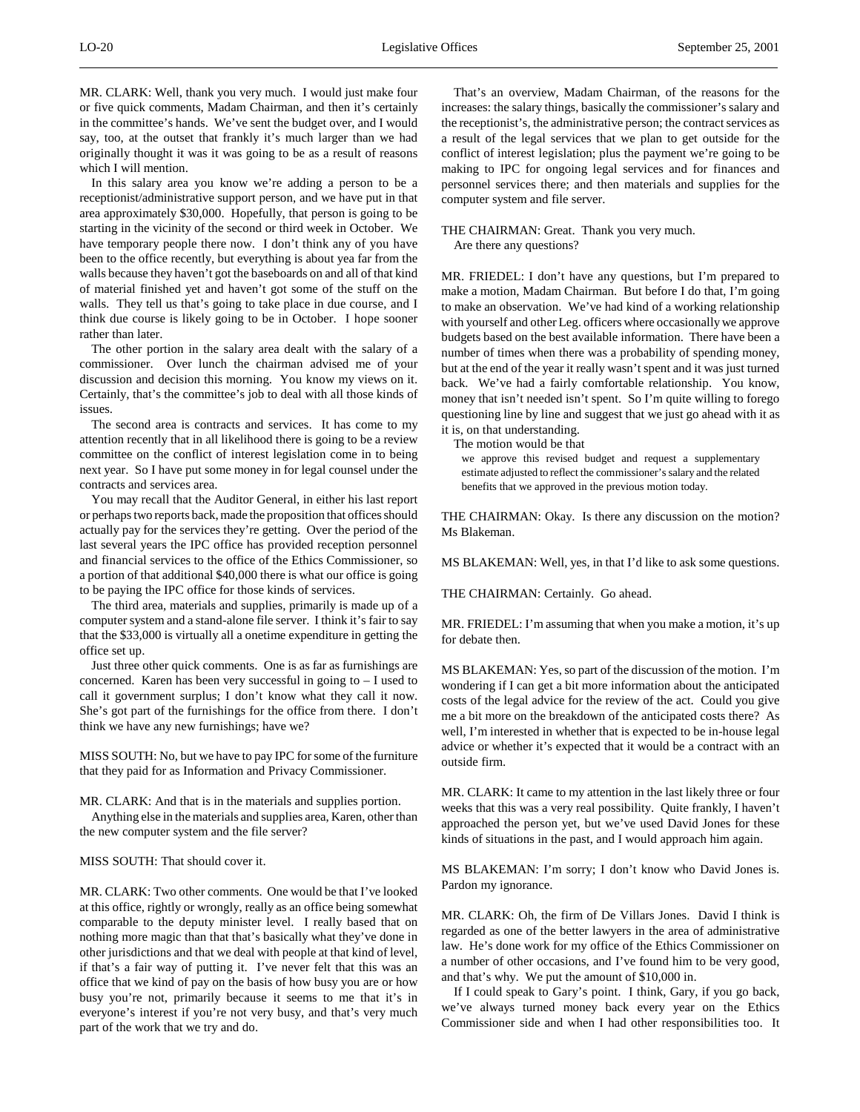MR. CLARK: Well, thank you very much. I would just make four or five quick comments, Madam Chairman, and then it's certainly in the committee's hands. We've sent the budget over, and I would say, too, at the outset that frankly it's much larger than we had originally thought it was it was going to be as a result of reasons which I will mention.

In this salary area you know we're adding a person to be a receptionist/administrative support person, and we have put in that area approximately \$30,000. Hopefully, that person is going to be starting in the vicinity of the second or third week in October. We have temporary people there now. I don't think any of you have been to the office recently, but everything is about yea far from the walls because they haven't got the baseboards on and all of that kind of material finished yet and haven't got some of the stuff on the walls. They tell us that's going to take place in due course, and I think due course is likely going to be in October. I hope sooner rather than later.

The other portion in the salary area dealt with the salary of a commissioner. Over lunch the chairman advised me of your discussion and decision this morning. You know my views on it. Certainly, that's the committee's job to deal with all those kinds of issues.

The second area is contracts and services. It has come to my attention recently that in all likelihood there is going to be a review committee on the conflict of interest legislation come in to being next year. So I have put some money in for legal counsel under the contracts and services area.

You may recall that the Auditor General, in either his last report or perhaps two reports back, made the proposition that offices should actually pay for the services they're getting. Over the period of the last several years the IPC office has provided reception personnel and financial services to the office of the Ethics Commissioner, so a portion of that additional \$40,000 there is what our office is going to be paying the IPC office for those kinds of services.

The third area, materials and supplies, primarily is made up of a computer system and a stand-alone file server. I think it's fair to say that the \$33,000 is virtually all a onetime expenditure in getting the office set up.

Just three other quick comments. One is as far as furnishings are concerned. Karen has been very successful in going to – I used to call it government surplus; I don't know what they call it now. She's got part of the furnishings for the office from there. I don't think we have any new furnishings; have we?

MISS SOUTH: No, but we have to pay IPC for some of the furniture that they paid for as Information and Privacy Commissioner.

MR. CLARK: And that is in the materials and supplies portion.

Anything else in the materials and supplies area, Karen, other than the new computer system and the file server?

MISS SOUTH: That should cover it.

MR. CLARK: Two other comments. One would be that I've looked at this office, rightly or wrongly, really as an office being somewhat comparable to the deputy minister level. I really based that on nothing more magic than that that's basically what they've done in other jurisdictions and that we deal with people at that kind of level, if that's a fair way of putting it. I've never felt that this was an office that we kind of pay on the basis of how busy you are or how busy you're not, primarily because it seems to me that it's in everyone's interest if you're not very busy, and that's very much part of the work that we try and do.

That's an overview, Madam Chairman, of the reasons for the increases: the salary things, basically the commissioner's salary and the receptionist's, the administrative person; the contract services as a result of the legal services that we plan to get outside for the conflict of interest legislation; plus the payment we're going to be making to IPC for ongoing legal services and for finances and personnel services there; and then materials and supplies for the computer system and file server.

THE CHAIRMAN: Great. Thank you very much. Are there any questions?

MR. FRIEDEL: I don't have any questions, but I'm prepared to make a motion, Madam Chairman. But before I do that, I'm going to make an observation. We've had kind of a working relationship with yourself and other Leg. officers where occasionally we approve budgets based on the best available information. There have been a number of times when there was a probability of spending money, but at the end of the year it really wasn't spent and it was just turned back. We've had a fairly comfortable relationship. You know, money that isn't needed isn't spent. So I'm quite willing to forego questioning line by line and suggest that we just go ahead with it as it is, on that understanding.

The motion would be that

we approve this revised budget and request a supplementary estimate adjusted to reflect the commissioner's salary and the related benefits that we approved in the previous motion today.

THE CHAIRMAN: Okay. Is there any discussion on the motion? Ms Blakeman.

MS BLAKEMAN: Well, yes, in that I'd like to ask some questions.

THE CHAIRMAN: Certainly. Go ahead.

MR. FRIEDEL: I'm assuming that when you make a motion, it's up for debate then.

MS BLAKEMAN: Yes, so part of the discussion of the motion. I'm wondering if I can get a bit more information about the anticipated costs of the legal advice for the review of the act. Could you give me a bit more on the breakdown of the anticipated costs there? As well, I'm interested in whether that is expected to be in-house legal advice or whether it's expected that it would be a contract with an outside firm.

MR. CLARK: It came to my attention in the last likely three or four weeks that this was a very real possibility. Quite frankly, I haven't approached the person yet, but we've used David Jones for these kinds of situations in the past, and I would approach him again.

MS BLAKEMAN: I'm sorry; I don't know who David Jones is. Pardon my ignorance.

MR. CLARK: Oh, the firm of De Villars Jones. David I think is regarded as one of the better lawyers in the area of administrative law. He's done work for my office of the Ethics Commissioner on a number of other occasions, and I've found him to be very good, and that's why. We put the amount of \$10,000 in.

If I could speak to Gary's point. I think, Gary, if you go back, we've always turned money back every year on the Ethics Commissioner side and when I had other responsibilities too. It

 $\overline{a}$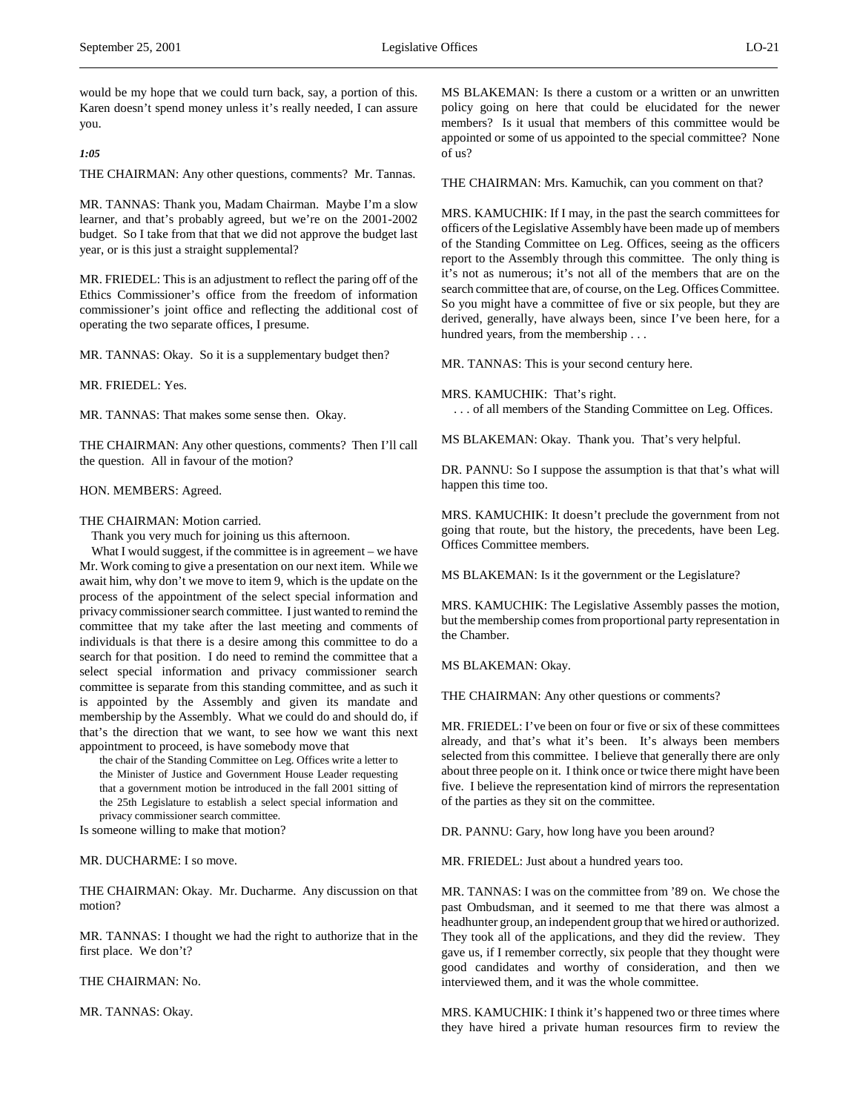*1:05*

 $\overline{a}$ 

THE CHAIRMAN: Any other questions, comments? Mr. Tannas.

MR. TANNAS: Thank you, Madam Chairman. Maybe I'm a slow learner, and that's probably agreed, but we're on the 2001-2002 budget. So I take from that that we did not approve the budget last year, or is this just a straight supplemental?

MR. FRIEDEL: This is an adjustment to reflect the paring off of the Ethics Commissioner's office from the freedom of information commissioner's joint office and reflecting the additional cost of operating the two separate offices, I presume.

MR. TANNAS: Okay. So it is a supplementary budget then?

MR. FRIEDEL: Yes.

MR. TANNAS: That makes some sense then. Okay.

THE CHAIRMAN: Any other questions, comments? Then I'll call the question. All in favour of the motion?

# HON. MEMBERS: Agreed.

THE CHAIRMAN: Motion carried.

Thank you very much for joining us this afternoon.

What I would suggest, if the committee is in agreement – we have Mr. Work coming to give a presentation on our next item. While we await him, why don't we move to item 9, which is the update on the process of the appointment of the select special information and privacy commissioner search committee. I just wanted to remind the committee that my take after the last meeting and comments of individuals is that there is a desire among this committee to do a search for that position. I do need to remind the committee that a select special information and privacy commissioner search committee is separate from this standing committee, and as such it is appointed by the Assembly and given its mandate and membership by the Assembly. What we could do and should do, if that's the direction that we want, to see how we want this next appointment to proceed, is have somebody move that

the chair of the Standing Committee on Leg. Offices write a letter to the Minister of Justice and Government House Leader requesting that a government motion be introduced in the fall 2001 sitting of the 25th Legislature to establish a select special information and privacy commissioner search committee.

Is someone willing to make that motion?

MR. DUCHARME: I so move.

THE CHAIRMAN: Okay. Mr. Ducharme. Any discussion on that motion?

MR. TANNAS: I thought we had the right to authorize that in the first place. We don't?

THE CHAIRMAN: No.

MR. TANNAS: Okay.

MS BLAKEMAN: Is there a custom or a written or an unwritten policy going on here that could be elucidated for the newer members? Is it usual that members of this committee would be appointed or some of us appointed to the special committee? None of us?

THE CHAIRMAN: Mrs. Kamuchik, can you comment on that?

MRS. KAMUCHIK: If I may, in the past the search committees for officers of the Legislative Assembly have been made up of members of the Standing Committee on Leg. Offices, seeing as the officers report to the Assembly through this committee. The only thing is it's not as numerous; it's not all of the members that are on the search committee that are, of course, on the Leg. Offices Committee. So you might have a committee of five or six people, but they are derived, generally, have always been, since I've been here, for a hundred years, from the membership . . .

MR. TANNAS: This is your second century here.

MRS. KAMUCHIK: That's right.

. . . of all members of the Standing Committee on Leg. Offices.

MS BLAKEMAN: Okay. Thank you. That's very helpful.

DR. PANNU: So I suppose the assumption is that that's what will happen this time too.

MRS. KAMUCHIK: It doesn't preclude the government from not going that route, but the history, the precedents, have been Leg. Offices Committee members.

MS BLAKEMAN: Is it the government or the Legislature?

MRS. KAMUCHIK: The Legislative Assembly passes the motion, but the membership comes from proportional party representation in the Chamber.

MS BLAKEMAN: Okay.

THE CHAIRMAN: Any other questions or comments?

MR. FRIEDEL: I've been on four or five or six of these committees already, and that's what it's been. It's always been members selected from this committee. I believe that generally there are only about three people on it. I think once or twice there might have been five. I believe the representation kind of mirrors the representation of the parties as they sit on the committee.

DR. PANNU: Gary, how long have you been around?

MR. FRIEDEL: Just about a hundred years too.

MR. TANNAS: I was on the committee from '89 on. We chose the past Ombudsman, and it seemed to me that there was almost a headhunter group, an independent group that we hired or authorized. They took all of the applications, and they did the review. They gave us, if I remember correctly, six people that they thought were good candidates and worthy of consideration, and then we interviewed them, and it was the whole committee.

MRS. KAMUCHIK: I think it's happened two or three times where they have hired a private human resources firm to review the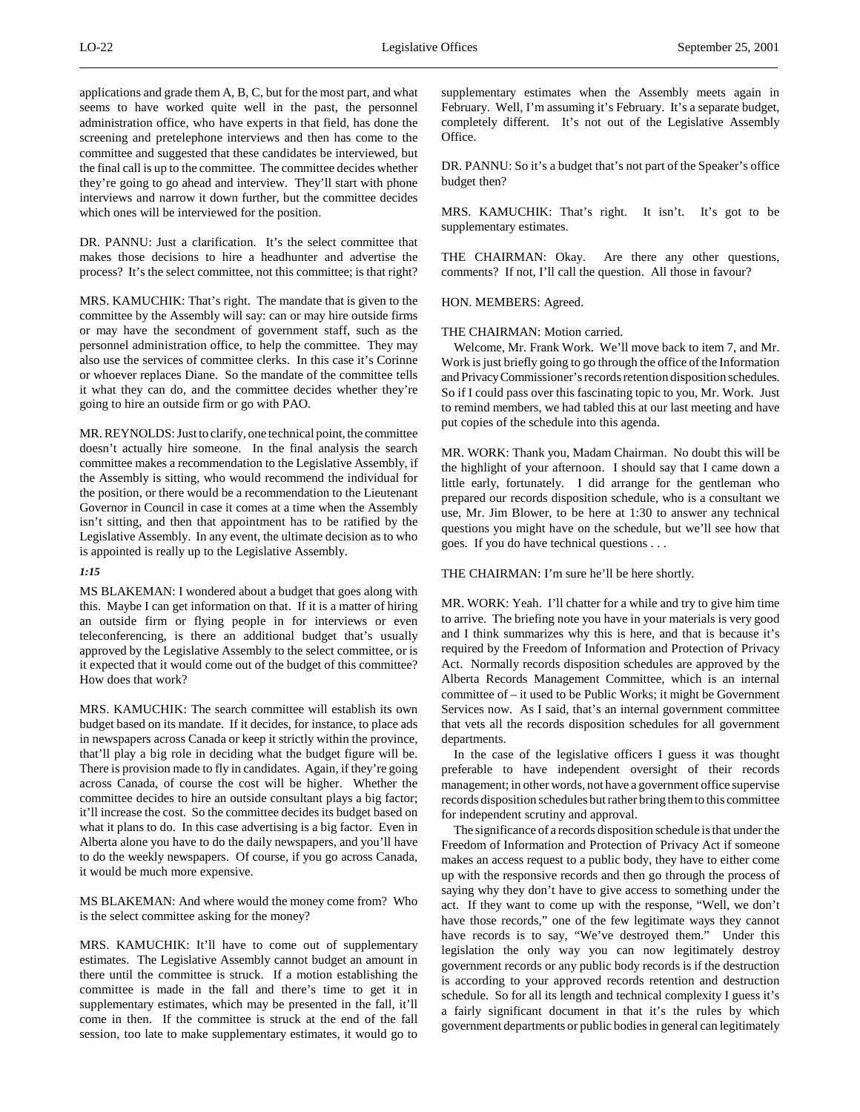DR. PANNU: Just a clarification. It's the select committee that makes those decisions to hire a headhunter and advertise the process? It's the select committee, not this committee; is that right?

MRS. KAMUCHIK: That's right. The mandate that is given to the committee by the Assembly will say: can or may hire outside firms or may have the secondment of government staff, such as the personnel administration office, to help the committee. They may also use the services of committee clerks. In this case it's Corinne or whoever replaces Diane. So the mandate of the committee tells it what they can do, and the committee decides whether they're going to hire an outside firm or go with PAO.

MR. REYNOLDS: Just to clarify, one technical point, the committee doesn't actually hire someone. In the final analysis the search committee makes a recommendation to the Legislative Assembly, if the Assembly is sitting, who would recommend the individual for the position, or there would be a recommendation to the Lieutenant Governor in Council in case it comes at a time when the Assembly isn't sitting, and then that appointment has to be ratified by the Legislative Assembly. In any event, the ultimate decision as to who is appointed is really up to the Legislative Assembly.

### *1:15*

MS BLAKEMAN: I wondered about a budget that goes along with this. Maybe I can get information on that. If it is a matter of hiring an outside firm or flying people in for interviews or even teleconferencing, is there an additional budget that's usually approved by the Legislative Assembly to the select committee, or is it expected that it would come out of the budget of this committee? How does that work?

MRS. KAMUCHIK: The search committee will establish its own budget based on its mandate. If it decides, for instance, to place ads in newspapers across Canada or keep it strictly within the province, that'll play a big role in deciding what the budget figure will be. There is provision made to fly in candidates. Again, if they're going across Canada, of course the cost will be higher. Whether the committee decides to hire an outside consultant plays a big factor; it'll increase the cost. So the committee decides its budget based on what it plans to do. In this case advertising is a big factor. Even in Alberta alone you have to do the daily newspapers, and you'll have to do the weekly newspapers. Of course, if you go across Canada, it would be much more expensive.

MS BLAKEMAN: And where would the money come from? Who is the select committee asking for the money?

MRS. KAMUCHIK: It'll have to come out of supplementary estimates. The Legislative Assembly cannot budget an amount in there until the committee is struck. If a motion establishing the committee is made in the fall and there's time to get it in supplementary estimates, which may be presented in the fall, it'll come in then. If the committee is struck at the end of the fall session, too late to make supplementary estimates, it would go to

supplementary estimates when the Assembly meets again in February. Well, I'm assuming it's February. It's a separate budget, completely different. It's not out of the Legislative Assembly Office.

DR. PANNU: So it's a budget that's not part of the Speaker's office budget then?

MRS. KAMUCHIK: That's right. It isn't. It's got to be supplementary estimates.

THE CHAIRMAN: Okay. Are there any other questions, comments? If not, I'll call the question. All those in favour?

HON. MEMBERS: Agreed.

# THE CHAIRMAN: Motion carried.

Welcome, Mr. Frank Work. We'll move back to item 7, and Mr. Work is just briefly going to go through the office of the Information and Privacy Commissioner's records retention disposition schedules. So if I could pass over this fascinating topic to you, Mr. Work. Just to remind members, we had tabled this at our last meeting and have put copies of the schedule into this agenda.

MR. WORK: Thank you, Madam Chairman. No doubt this will be the highlight of your afternoon. I should say that I came down a little early, fortunately. I did arrange for the gentleman who prepared our records disposition schedule, who is a consultant we use, Mr. Jim Blower, to be here at 1:30 to answer any technical questions you might have on the schedule, but we'll see how that goes. If you do have technical questions . . .

### THE CHAIRMAN: I'm sure he'll be here shortly.

MR. WORK: Yeah. I'll chatter for a while and try to give him time to arrive. The briefing note you have in your materials is very good and I think summarizes why this is here, and that is because it's required by the Freedom of Information and Protection of Privacy Act. Normally records disposition schedules are approved by the Alberta Records Management Committee, which is an internal committee of – it used to be Public Works; it might be Government Services now. As I said, that's an internal government committee that vets all the records disposition schedules for all government departments.

In the case of the legislative officers I guess it was thought preferable to have independent oversight of their records management; in other words, not have a government office supervise records disposition schedules but rather bring them to this committee for independent scrutiny and approval.

The significance of a records disposition schedule is that under the Freedom of Information and Protection of Privacy Act if someone makes an access request to a public body, they have to either come up with the responsive records and then go through the process of saying why they don't have to give access to something under the act. If they want to come up with the response, "Well, we don't have those records," one of the few legitimate ways they cannot have records is to say, "We've destroyed them." Under this legislation the only way you can now legitimately destroy government records or any public body records is if the destruction is according to your approved records retention and destruction schedule. So for all its length and technical complexity I guess it's a fairly significant document in that it's the rules by which government departments or public bodies in general can legitimately

 $\overline{a}$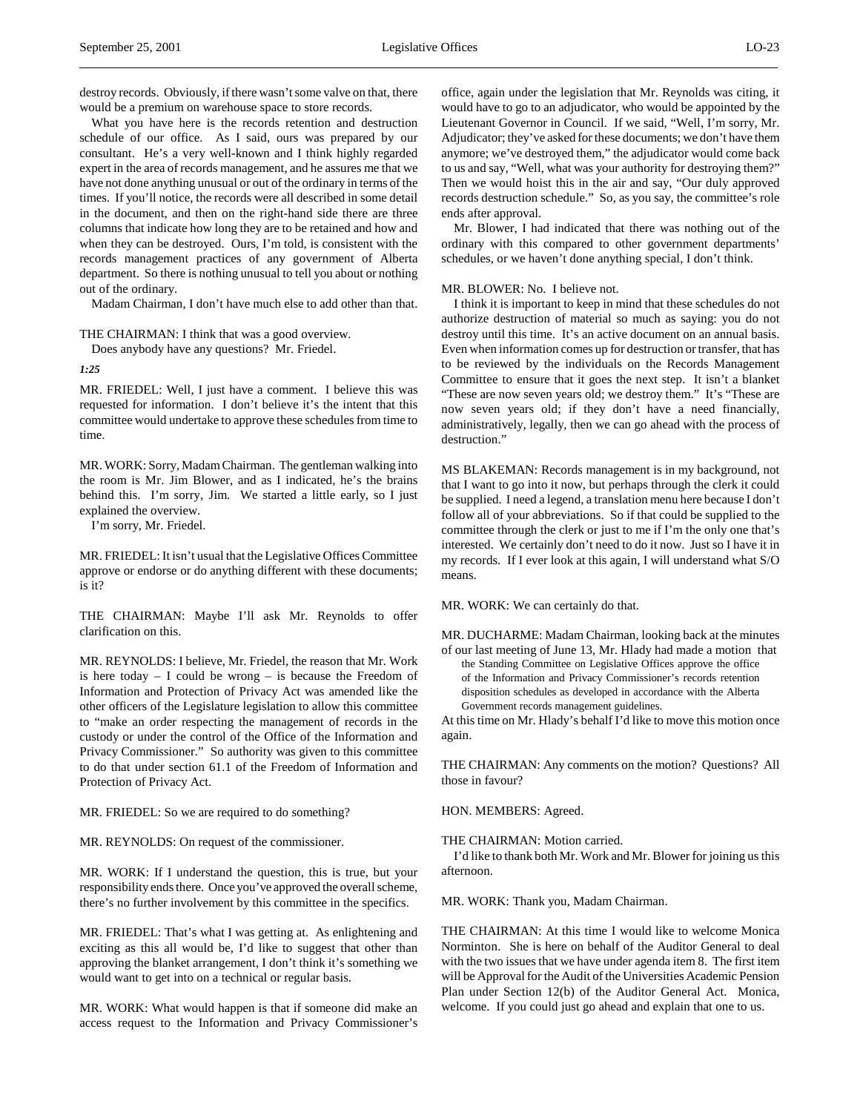$\overline{a}$ 

destroy records. Obviously, if there wasn't some valve on that, there would be a premium on warehouse space to store records.

What you have here is the records retention and destruction schedule of our office. As I said, ours was prepared by our consultant. He's a very well-known and I think highly regarded expert in the area of records management, and he assures me that we have not done anything unusual or out of the ordinary in terms of the times. If you'll notice, the records were all described in some detail in the document, and then on the right-hand side there are three columns that indicate how long they are to be retained and how and when they can be destroyed. Ours, I'm told, is consistent with the records management practices of any government of Alberta department. So there is nothing unusual to tell you about or nothing out of the ordinary.

Madam Chairman, I don't have much else to add other than that.

THE CHAIRMAN: I think that was a good overview. Does anybody have any questions? Mr. Friedel.

*1:25*

MR. FRIEDEL: Well, I just have a comment. I believe this was requested for information. I don't believe it's the intent that this committee would undertake to approve these schedules from time to time.

MR. WORK: Sorry, Madam Chairman. The gentleman walking into the room is Mr. Jim Blower, and as I indicated, he's the brains behind this. I'm sorry, Jim. We started a little early, so I just explained the overview.

I'm sorry, Mr. Friedel.

MR. FRIEDEL: It isn't usual that the Legislative Offices Committee approve or endorse or do anything different with these documents; is it?

THE CHAIRMAN: Maybe I'll ask Mr. Reynolds to offer clarification on this.

MR. REYNOLDS: I believe, Mr. Friedel, the reason that Mr. Work is here today  $- I$  could be wrong  $-$  is because the Freedom of Information and Protection of Privacy Act was amended like the other officers of the Legislature legislation to allow this committee to "make an order respecting the management of records in the custody or under the control of the Office of the Information and Privacy Commissioner." So authority was given to this committee to do that under section 61.1 of the Freedom of Information and Protection of Privacy Act.

MR. FRIEDEL: So we are required to do something?

MR. REYNOLDS: On request of the commissioner.

MR. WORK: If I understand the question, this is true, but your responsibility ends there. Once you've approved the overall scheme, there's no further involvement by this committee in the specifics.

MR. FRIEDEL: That's what I was getting at. As enlightening and exciting as this all would be, I'd like to suggest that other than approving the blanket arrangement, I don't think it's something we would want to get into on a technical or regular basis.

MR. WORK: What would happen is that if someone did make an access request to the Information and Privacy Commissioner's

office, again under the legislation that Mr. Reynolds was citing, it would have to go to an adjudicator, who would be appointed by the Lieutenant Governor in Council. If we said, "Well, I'm sorry, Mr. Adjudicator; they've asked for these documents; we don't have them anymore; we've destroyed them," the adjudicator would come back to us and say, "Well, what was your authority for destroying them?" Then we would hoist this in the air and say, "Our duly approved records destruction schedule." So, as you say, the committee's role ends after approval.

Mr. Blower, I had indicated that there was nothing out of the ordinary with this compared to other government departments' schedules, or we haven't done anything special, I don't think.

#### MR. BLOWER: No. I believe not.

I think it is important to keep in mind that these schedules do not authorize destruction of material so much as saying: you do not destroy until this time. It's an active document on an annual basis. Even when information comes up for destruction or transfer, that has to be reviewed by the individuals on the Records Management Committee to ensure that it goes the next step. It isn't a blanket "These are now seven years old; we destroy them." It's "These are now seven years old; if they don't have a need financially, administratively, legally, then we can go ahead with the process of destruction."

MS BLAKEMAN: Records management is in my background, not that I want to go into it now, but perhaps through the clerk it could be supplied. I need a legend, a translation menu here because I don't follow all of your abbreviations. So if that could be supplied to the committee through the clerk or just to me if I'm the only one that's interested. We certainly don't need to do it now. Just so I have it in my records. If I ever look at this again, I will understand what S/O means.

MR. WORK: We can certainly do that.

MR. DUCHARME: Madam Chairman, looking back at the minutes of our last meeting of June 13, Mr. Hlady had made a motion that

the Standing Committee on Legislative Offices approve the office of the Information and Privacy Commissioner's records retention disposition schedules as developed in accordance with the Alberta Government records management guidelines.

At this time on Mr. Hlady's behalf I'd like to move this motion once again.

THE CHAIRMAN: Any comments on the motion? Questions? All those in favour?

HON. MEMBERS: Agreed.

THE CHAIRMAN: Motion carried.

I'd like to thank both Mr. Work and Mr. Blower for joining us this afternoon.

MR. WORK: Thank you, Madam Chairman.

THE CHAIRMAN: At this time I would like to welcome Monica Norminton. She is here on behalf of the Auditor General to deal with the two issues that we have under agenda item 8. The first item will be Approval for the Audit of the Universities Academic Pension Plan under Section 12(b) of the Auditor General Act. Monica, welcome. If you could just go ahead and explain that one to us.